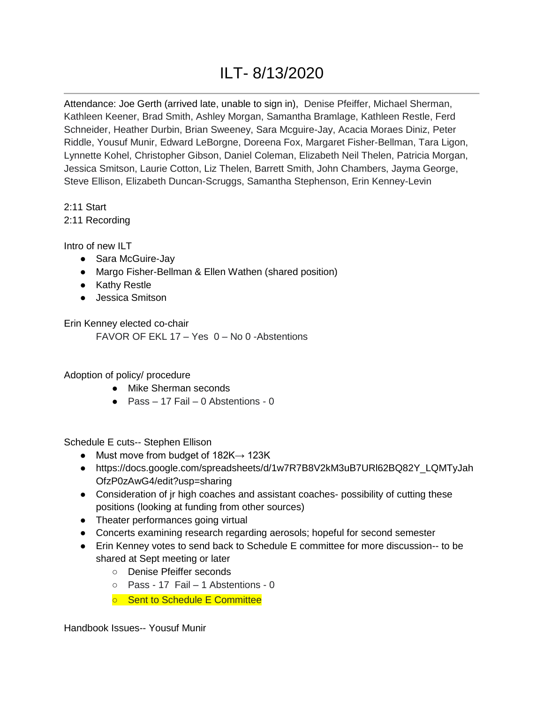## ILT- 8/13/2020

Attendance: Joe Gerth (arrived late, unable to sign in), Denise Pfeiffer, Michael Sherman, Kathleen Keener, Brad Smith, Ashley Morgan, Samantha Bramlage, Kathleen Restle, Ferd Schneider, Heather Durbin, Brian Sweeney, Sara Mcguire-Jay, Acacia Moraes Diniz, Peter Riddle, Yousuf Munir, Edward LeBorgne, Doreena Fox, Margaret Fisher-Bellman, Tara Ligon, Lynnette Kohel, Christopher Gibson, Daniel Coleman, Elizabeth Neil Thelen, Patricia Morgan, Jessica Smitson, Laurie Cotton, Liz Thelen, Barrett Smith, John Chambers, Jayma George, Steve Ellison, Elizabeth Duncan-Scruggs, Samantha Stephenson, Erin Kenney-Levin

2:11 Start

2:11 Recording

Intro of new ILT

- Sara McGuire-Jay
- Margo Fisher-Bellman & Ellen Wathen (shared position)
- Kathy Restle
- Jessica Smitson

Erin Kenney elected co-chair

FAVOR OF EKL 17 – Yes 0 – No 0 -Abstentions

Adoption of policy/ procedure

- Mike Sherman seconds
- Pass 17 Fail 0 Abstentions 0

Schedule E cuts-- Stephen Ellison

- Must move from budget of  $182K \rightarrow 123K$
- https://docs.google.com/spreadsheets/d/1w7R7B8V2kM3uB7URl62BQ82Y\_LQMTyJah OfzP0zAwG4/edit?usp=sharing
- Consideration of jr high coaches and assistant coaches- possibility of cutting these positions (looking at funding from other sources)
- Theater performances going virtual
- Concerts examining research regarding aerosols; hopeful for second semester
- Erin Kenney votes to send back to Schedule E committee for more discussion-- to be shared at Sept meeting or later
	- Denise Pfeiffer seconds
	- Pass 17 Fail 1 Abstentions 0
	- Sent to Schedule E Committee

Handbook Issues-- Yousuf Munir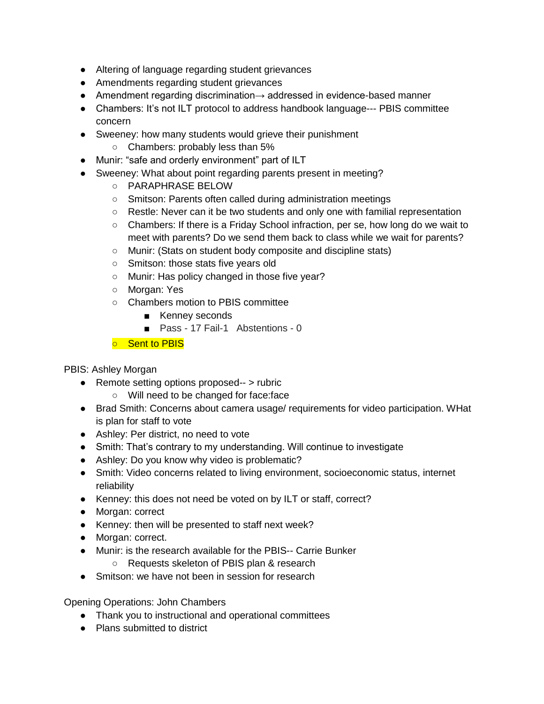- Altering of language regarding student grievances
- Amendments regarding student grievances
- Amendment regarding discrimination→ addressed in evidence-based manner
- Chambers: It's not ILT protocol to address handbook language--- PBIS committee concern
- Sweeney: how many students would grieve their punishment
	- Chambers: probably less than 5%
- Munir: "safe and orderly environment" part of ILT
- Sweeney: What about point regarding parents present in meeting?
	- PARAPHRASE BELOW
	- Smitson: Parents often called during administration meetings
	- Restle: Never can it be two students and only one with familial representation
	- Chambers: If there is a Friday School infraction, per se, how long do we wait to meet with parents? Do we send them back to class while we wait for parents?
	- Munir: (Stats on student body composite and discipline stats)
	- Smitson: those stats five years old
	- Munir: Has policy changed in those five year?
	- Morgan: Yes
	- Chambers motion to PBIS committee
		- Kenney seconds
		- Pass 17 Fail-1 Abstentions 0
	- Sent to PBIS

PBIS: Ashley Morgan

- Remote setting options proposed-- > rubric
	- Will need to be changed for face:face
- Brad Smith: Concerns about camera usage/ requirements for video participation. WHat is plan for staff to vote
- Ashley: Per district, no need to vote
- Smith: That's contrary to my understanding. Will continue to investigate
- Ashley: Do you know why video is problematic?
- Smith: Video concerns related to living environment, socioeconomic status, internet reliability
- Kenney: this does not need be voted on by ILT or staff, correct?
- Morgan: correct
- Kenney: then will be presented to staff next week?
- Morgan: correct.
- Munir: is the research available for the PBIS-- Carrie Bunker
	- Requests skeleton of PBIS plan & research
- Smitson: we have not been in session for research

Opening Operations: John Chambers

- Thank you to instructional and operational committees
- Plans submitted to district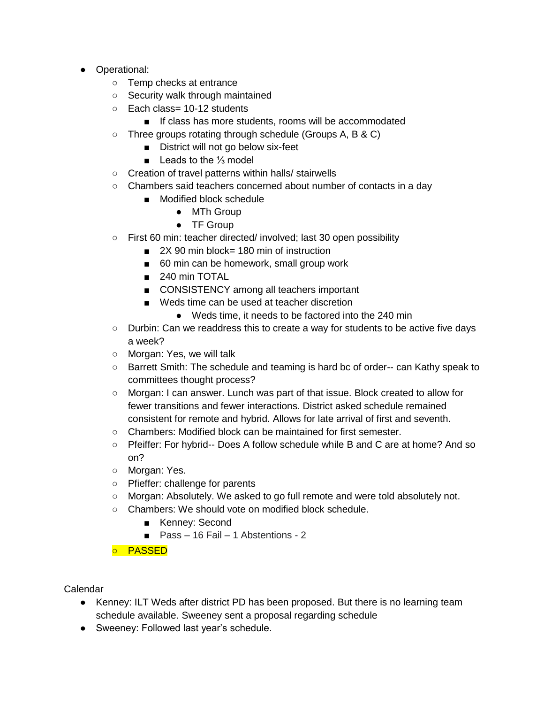- Operational:
	- Temp checks at entrance
	- Security walk through maintained
	- Each class= 10-12 students
		- If class has more students, rooms will be accommodated
	- Three groups rotating through schedule (Groups A, B & C)
		- District will not go below six-feet
		- Leads to the <sup>1</sup>/<sub>3</sub> model
	- Creation of travel patterns within halls/ stairwells
	- Chambers said teachers concerned about number of contacts in a day
		- Modified block schedule
			- MTh Group
			- **TF Group**
	- First 60 min: teacher directed/ involved; last 30 open possibility
		- 2X 90 min block= 180 min of instruction
		- 60 min can be homework, small group work
		- 240 min TOTAL
		- CONSISTENCY among all teachers important
		- Weds time can be used at teacher discretion
			- Weds time, it needs to be factored into the 240 min
	- Durbin: Can we readdress this to create a way for students to be active five days a week?
	- Morgan: Yes, we will talk
	- Barrett Smith: The schedule and teaming is hard bc of order-- can Kathy speak to committees thought process?
	- Morgan: I can answer. Lunch was part of that issue. Block created to allow for fewer transitions and fewer interactions. District asked schedule remained consistent for remote and hybrid. Allows for late arrival of first and seventh.
	- Chambers: Modified block can be maintained for first semester.
	- Pfeiffer: For hybrid-- Does A follow schedule while B and C are at home? And so on?
	- Morgan: Yes.
	- Pfieffer: challenge for parents
	- Morgan: Absolutely. We asked to go full remote and were told absolutely not.
	- Chambers: We should vote on modified block schedule.
		- Kenney: Second
		- Pass 16 Fail 1 Abstentions 2

○ PASSED

Calendar

- Kenney: ILT Weds after district PD has been proposed. But there is no learning team schedule available. Sweeney sent a proposal regarding schedule
- Sweeney: Followed last year's schedule.